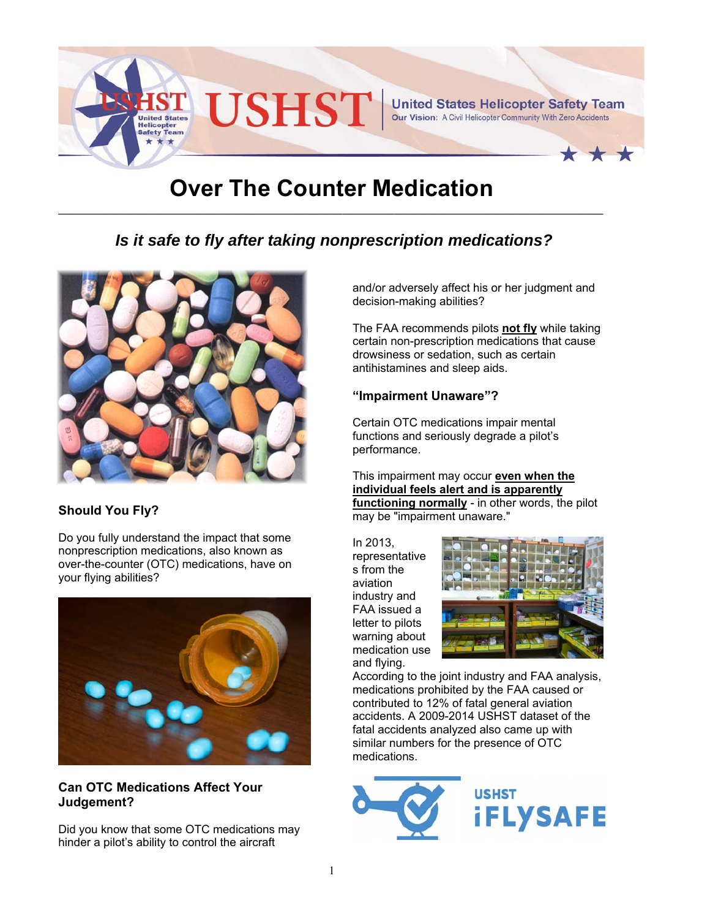

# **Over The Counter Medication**

# *Is it safe to fly after taking nonprescription medications?*



## **Should You Fly?**

Do you fully understand the impact that some nonprescription medications, also known as over-the-counter (OTC) medications, have on your flying abilities?



#### **Can OTC Medications Affect Your Judgement?**

Did you know that some OTC medications may hinder a pilot's ability to control the aircraft

and/or adversely affect his or her judgment and decision-making abilities?

The FAA recommends pilots **not fly** while taking certain non-prescription medications that cause drowsiness or sedation, such as certain antihistamines and sleep aids.

#### **"Impairment Unaware"?**

Certain OTC medications impair mental functions and seriously degrade a pilot's performance.

This impairment may occur **even when the individual feels alert and is apparently functioning normally** - in other words, the pilot may be "impairment unaware."

In 2013, representative s from the aviation industry and FAA issued a letter to pilots warning about medication use and flying.



According to the joint industry and FAA analysis, medications prohibited by the FAA caused or contributed to 12% of fatal general aviation accidents. A 2009-2014 USHST dataset of the fatal accidents analyzed also came up with similar numbers for the presence of OTC medications.